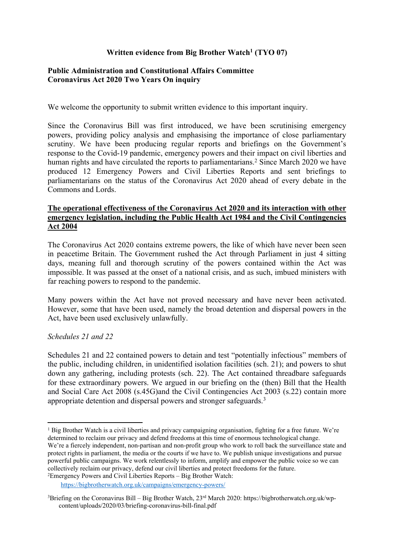# **Written evidence from Big Brother Watch<sup>1</sup> (TYO 07)**

## **[Public](https://admin.committees.parliament.uk/Committee/Edit/327) [Administration](https://admin.committees.parliament.uk/Committee/Edit/327) [and](https://admin.committees.parliament.uk/Committee/Edit/327) [Constitutional](https://admin.committees.parliament.uk/Committee/Edit/327) [Affairs](https://admin.committees.parliament.uk/Committee/Edit/327) [Committee](https://admin.committees.parliament.uk/Committee/Edit/327) [Coronavirus](https://admin.committees.parliament.uk/Committee/327/CommitteeBusiness/Edit/1718) [Act](https://admin.committees.parliament.uk/Committee/327/CommitteeBusiness/Edit/1718) [2020](https://admin.committees.parliament.uk/Committee/327/CommitteeBusiness/Edit/1718) [Two](https://admin.committees.parliament.uk/Committee/327/CommitteeBusiness/Edit/1718) [Years](https://admin.committees.parliament.uk/Committee/327/CommitteeBusiness/Edit/1718) [On](https://admin.committees.parliament.uk/Committee/327/CommitteeBusiness/Edit/1718) inquiry**

We welcome the opportunity to submit written evidence to this important inquiry.

Since the Coronavirus Bill was first introduced, we have been scrutinising emergency powers, providing policy analysis and emphasising the importance of close parliamentary scrutiny. We have been producing regular reports and briefings on the Government's response to the Covid-19 pandemic, emergency powers and their impact on civil liberties and human rights and have circulated the reports to parliamentarians.<sup>2</sup> Since March 2020 we have produced 12 Emergency Powers and Civil Liberties Reports and sent briefings to parliamentarians on the status of the Coronavirus Act 2020 ahead of every debate in the Commons and Lords.

# **The operational effectiveness of the Coronavirus Act 2020 and its interaction with other emergency legislation, including the Public Health Act 1984 and the Civil Contingencies Act 2004**

The Coronavirus Act 2020 contains extreme powers, the like of which have never been seen in peacetime Britain. The Government rushed the Act through Parliament in just 4 sitting days, meaning full and thorough scrutiny of the powers contained within the Act was impossible. It was passed at the onset of a national crisis, and as such, imbued ministers with far reaching powers to respond to the pandemic.

Many powers within the Act have not proved necessary and have never been activated. However, some that have been used, namely the broad detention and dispersal powers in the Act, have been used exclusively unlawfully.

# *Schedules 21 and 22*

Schedules 21 and 22 contained powers to detain and test "potentially infectious" members of the public, including children, in unidentified isolation facilities (sch. 21); and powers to shut down any gathering, including protests (sch. 22). The Act contained threadbare safeguards for these extraordinary powers. We argued in our briefing on the (then) Bill that the Health and Social Care Act 2008 (s.45G)and the Civil Contingencies Act 2003 (s.22) contain more appropriate detention and dispersal powers and stronger safeguards.<sup>3</sup>

<sup>&</sup>lt;sup>1</sup> Big Brother Watch is a civil liberties and privacy campaigning organisation, fighting for a free future. We're determined to reclaim our privacy and defend freedoms at this time of enormous technological change. We're a fiercely independent, non-partisan and non-profit group who work to roll back the surveillance state and protect rights in parliament, the media or the courts if we have to. We publish unique investigations and pursue powerful public campaigns. We work relentlessly to inform, amplify and empower the public voice so we can collectively reclaim our privacy, defend our civil liberties and protect freedoms for the future. <sup>2</sup>Emergency Powers and Civil Liberties Reports – Big Brother Watch:

<https://bigbrotherwatch.org.uk/campaigns/emergency-powers/>

<sup>&</sup>lt;sup>3</sup>Briefing on the Coronavirus Bill – Big Brother Watch,  $23^{rd}$  March 2020: https://bigbrotherwatch.org.uk/wpcontent/uploads/2020/03/briefing-coronavirus-bill-final.pdf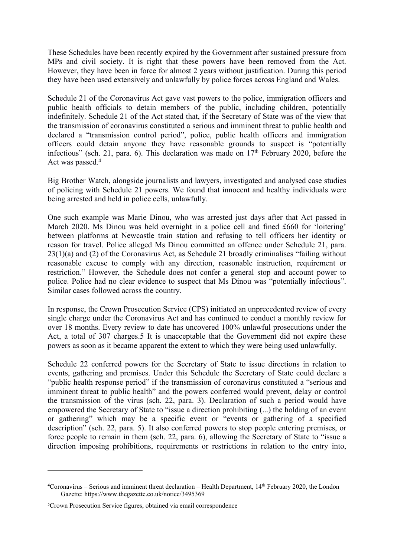These Schedules have been recently expired by the Government after sustained pressure from MPs and civil society. It is right that these powers have been removed from the Act. However, they have been in force for almost 2 years without justification. During this period they have been used extensively and unlawfully by police forces across England and Wales.

Schedule 21 of the Coronavirus Act gave vast powers to the police, immigration officers and public health officials to detain members of the public, including children, potentially indefinitely. Schedule 21 of the Act stated that, if the Secretary of State was of the view that the transmission of coronavirus constituted a serious and imminent threat to public health and declared a "transmission control period", police, public health officers and immigration officers could detain anyone they have reasonable grounds to suspect is "potentially infectious" (sch. 21, para. 6). This declaration was made on 17<sup>th</sup> February 2020, before the Act was passed.<sup>4</sup>

Big Brother Watch, alongside journalists and lawyers, investigated and analysed case studies of policing with Schedule 21 powers. We found that innocent and healthy individuals were being arrested and held in police cells, unlawfully.

One such example was Marie Dinou, who was arrested just days after that Act passed in March 2020. Ms Dinou was held overnight in a police cell and fined £660 for 'loitering' between platforms at Newcastle train station and refusing to tell officers her identity or reason for travel. Police alleged Ms Dinou committed an offence under Schedule 21, para. 23(1)(a) and (2) of the Coronavirus Act, as Schedule 21 broadly criminalises "failing without reasonable excuse to comply with any direction, reasonable instruction, requirement or restriction." However, the Schedule does not confer a general stop and account power to police. Police had no clear evidence to suspect that Ms Dinou was "potentially infectious". Similar cases followed across the country.

In response, the Crown Prosecution Service (CPS) initiated an unprecedented review of every single charge under the Coronavirus Act and has continued to conduct a monthly review for over 18 months. Every review to date has uncovered 100% unlawful prosecutions under the Act, a total of 307 charges.5 It is unacceptable that the Government did not expire these powers as soon as it became apparent the extent to which they were being used unlawfully.

Schedule 22 conferred powers for the Secretary of State to issue directions in relation to events, gathering and premises. Under this Schedule the Secretary of State could declare a "public health response period" if the transmission of coronavirus constituted a "serious and imminent threat to public health" and the powers conferred would prevent, delay or control the transmission of the virus (sch. 22, para. 3). Declaration of such a period would have empowered the Secretary of State to "issue a direction prohibiting (...) the holding of an event or gathering" which may be a specific event or "events or gathering of a specified description" (sch. 22, para. 5). It also conferred powers to stop people entering premises, or force people to remain in them (sch. 22, para. 6), allowing the Secretary of State to "issue a direction imposing prohibitions, requirements or restrictions in relation to the entry into,

**<sup>4</sup>**Coronavirus – Serious and imminent threat declaration – Health Department, 14th February 2020, the London Gazette: https://www.thegazette.co.uk/notice/3495369

<sup>5</sup>Crown Prosecution Service figures, obtained via email correspondence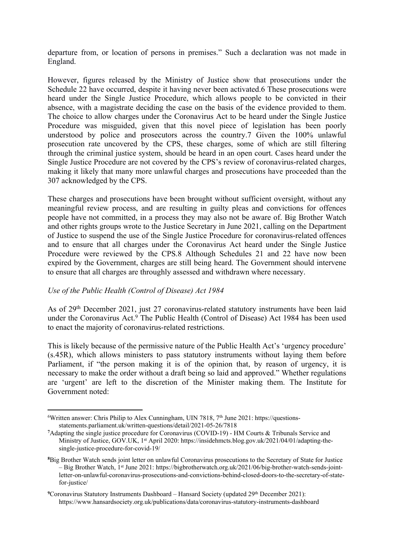departure from, or location of persons in premises." Such a declaration was not made in England.

However, figures released by the Ministry of Justice show that prosecutions under the Schedule 22 have occurred, despite it having never been activated.6 These prosecutions were heard under the Single Justice Procedure, which allows people to be convicted in their absence, with a magistrate deciding the case on the basis of the evidence provided to them. The choice to allow charges under the Coronavirus Act to be heard under the Single Justice Procedure was misguided, given that this novel piece of legislation has been poorly understood by police and prosecutors across the country.7 Given the 100% unlawful prosecution rate uncovered by the CPS, these charges, some of which are still filtering through the criminal justice system, should be heard in an open court. Cases heard under the Single Justice Procedure are not covered by the CPS's review of coronavirus-related charges, making it likely that many more unlawful charges and prosecutions have proceeded than the 307 acknowledged by the CPS.

These charges and prosecutions have been brought without sufficient oversight, without any meaningful review process, and are resulting in guilty pleas and convictions for offences people have not committed, in a process they may also not be aware of. Big Brother Watch and other rights groups wrote to the Justice Secretary in June 2021, calling on the Department of Justice to suspend the use of the Single Justice Procedure for coronavirus-related offences and to ensure that all charges under the Coronavirus Act heard under the Single Justice Procedure were reviewed by the CPS.8 Although Schedules 21 and 22 have now been expired by the Government, charges are still being heard. The Government should intervene to ensure that all charges are throughly assessed and withdrawn where necessary.

#### *Use of the Public Health (Control of Disease) Act 1984*

As of 29th December 2021, just 27 coronavirus-related statutory instruments have been laid under the Coronavirus Act.<sup>9</sup> The Public Health (Control of Disease) Act 1984 has been used to enact the majority of coronavirus-related restrictions.

This is likely because of the permissive nature of the Public Health Act's 'urgency procedure' (s.45R), which allows ministers to pass statutory instruments without laying them before Parliament, if "the person making it is of the opinion that, by reason of urgency, it is necessary to make the order without a draft being so laid and approved." Whether regulations are 'urgent' are left to the discretion of the Minister making them. The Institute for Government noted:

 $6W$ ritten answer: Chris Philip to Alex Cunningham, UIN 7818,  $7<sup>th</sup>$  June 2021: https://questionsstatements.parliament.uk/written-questions/detail/2021-05-26/7818

**<sup>7</sup>**Adapting the single justice procedure for Coronavirus (COVID-19) - HM Courts & Tribunals Service and Ministry of Justice, GOV.UK, 1 st April 2020: https://insidehmcts.blog.gov.uk/2021/04/01/adapting-thesingle-justice-procedure-for-covid-19/

**<sup>8</sup>**Big Brother Watch sends joint letter on unlawful Coronavirus prosecutions to the Secretary of State for Justice – Big Brother Watch, 1 st June 2021: https://bigbrotherwatch.org.uk/2021/06/big-brother-watch-sends-jointletter-on-unlawful-coronavirus-prosecutions-and-convictions-behind-closed-doors-to-the-secretary-of-statefor-justice/

<sup>&</sup>lt;sup>9</sup>Coronavirus Statutory Instruments Dashboard – Hansard Society (updated 29<sup>th</sup> December 2021): https://www.hansardsociety.org.uk/publications/data/coronavirus-statutory-instruments-dashboard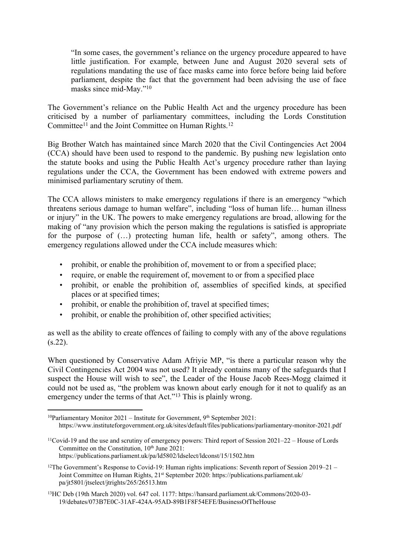"In some cases, the government's reliance on the urgency procedure appeared to have little justification. For example, between June and August 2020 several sets of regulations mandating the use of face masks came into force before being laid before parliament, despite the fact that the government had been advising the use of face masks since mid-May."<sup>10</sup>

The Government's reliance on the Public Health Act and the urgency procedure has been criticised by a number of parliamentary committees, including the Lords Constitution Committee<sup>11</sup> and the Joint Committee on Human Rights.<sup>12</sup>

Big Brother Watch has maintained since March 2020 that the Civil Contingencies Act 2004 (CCA) should have been used to respond to the pandemic. By pushing new legislation onto the statute books and using the Public Health Act's urgency procedure rather than laying regulations under the CCA, the Government has been endowed with extreme powers and minimised parliamentary scrutiny of them.

The CCA allows ministers to make emergency regulations if there is an emergency "which threatens serious damage to human welfare", including "loss of human life… human illness or injury" in the UK. The powers to make emergency regulations are broad, allowing for the making of "any provision which the person making the regulations is satisfied is appropriate for the purpose of (…) protecting human life, health or safety", among others. The emergency regulations allowed under the CCA include measures which:

- prohibit, or enable the prohibition of, movement to or from a specified place;
- require, or enable the requirement of, movement to or from a specified place
- prohibit, or enable the prohibition of, assemblies of specified kinds, at specified places or at specified times;
- prohibit, or enable the prohibition of, travel at specified times;
- prohibit, or enable the prohibition of, other specified activities;

as well as the ability to create offences of failing to comply with any of the above regulations  $(s.22)$ .

When questioned by Conservative Adam Afriyie MP, "is there a particular reason why the Civil Contingencies Act 2004 was not used? It already contains many of the safeguards that I suspect the House will wish to see", the Leader of the House Jacob Rees-Mogg claimed it could not be used as, "the problem was known about early enough for it not to qualify as an emergency under the terms of that Act."<sup>13</sup> This is plainly wrong.

<sup>&</sup>lt;sup>10</sup>Parliamentary Monitor 2021 – Institute for Government, 9<sup>th</sup> September 2021: https://www.instituteforgovernment.org.uk/sites/default/files/publications/parliamentary-monitor-2021.pdf

<sup>11</sup>Covid-19 and the use and scrutiny of emergency powers: Third report of Session 2021–22 – House of Lords Committee on the Constitution, 10<sup>th</sup> June 2021: https://publications.parliament.uk/pa/ld5802/ldselect/ldconst/15/1502.htm

<sup>&</sup>lt;sup>12</sup>The Government's Response to Covid-19: Human rights implications: Seventh report of Session 2019–21 – Joint Committee on Human Rights, 21<sup>st</sup> September 2020: https://publications.parliament.uk/ pa/jt5801/jtselect/jtrights/265/26513.htm

<sup>13</sup>HC Deb (19th March 2020) vol. 647 col. 1177: https://hansard.parliament.uk/Commons/2020-03- 19/debates/073B7E0C-31AF-424A-95AD-89B1F8F54EFE/BusinessOfTheHouse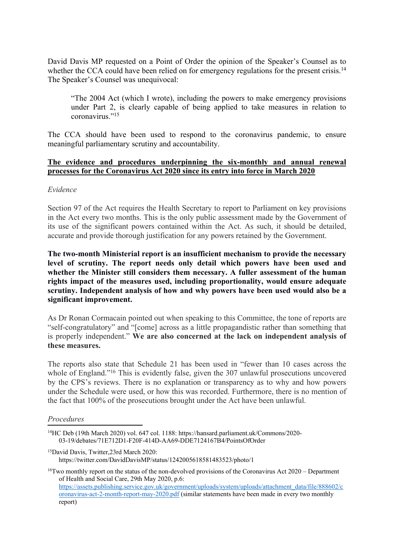David Davis MP requested on a Point of Order the opinion of the Speaker's Counsel as to whether the CCA could have been relied on for emergency regulations for the present crisis.<sup>14</sup> The Speaker's Counsel was unequivocal:

"The 2004 Act (which I wrote), including the powers to make emergency provisions under Part 2, is clearly capable of being applied to take measures in relation to coronavirus<sup>"15</sup>

The CCA should have been used to respond to the coronavirus pandemic, to ensure meaningful parliamentary scrutiny and accountability.

### **The evidence and procedures underpinning the six-monthly and annual renewal processes for the Coronavirus Act 2020 since its entry into force in March 2020**

#### *Evidence*

Section 97 of the Act requires the Health Secretary to report to Parliament on key provisions in the Act every two months. This is the only public assessment made by the Government of its use of the significant powers contained within the Act. As such, it should be detailed, accurate and provide thorough justification for any powers retained by the Government.

**The two-month Ministerial report is an insufficient mechanism to provide the necessary level of scrutiny. The report needs only detail which powers have been used and whether the Minister still considers them necessary. A fuller assessment of the human rights impact of the measures used, including proportionality, would ensure adequate scrutiny. Independent analysis of how and why powers have been used would also be a significant improvement.**

As Dr Ronan Cormacain pointed out when speaking to this Committee, the tone of reports are "self-congratulatory" and "[come] across as a little propagandistic rather than something that is properly independent." **We are also concerned at the lack on independent analysis of these measures.**

The reports also state that Schedule 21 has been used in "fewer than 10 cases across the whole of England."<sup>16</sup> This is evidently false, given the 307 unlawful prosecutions uncovered by the CPS's reviews. There is no explanation or transparency as to why and how powers under the Schedule were used, or how this was recorded. Furthermore, there is no mention of the fact that 100% of the prosecutions brought under the Act have been unlawful.

#### *Procedures*

<sup>15</sup>David Davis, Twitter,23rd March 2020: https://twitter.com/DavidDavisMP/status/1242005618581483523/photo/1

<sup>16</sup>Two monthly report on the status of the non-devolved provisions of the Coronavirus Act 2020 – Department of Health and Social Care, 29th May 2020, p.6: [https://assets.publishing.service.gov.uk/government/uploads/system/uploads/attachment\\_data/file/888602/c](https://assets.publishing.service.gov.uk/government/uploads/system/uploads/attachment_data/file/888602/coronavirus-act-2-month-report-may-2020.pdf) [oronavirus-act-2-month-report-may-2020.pdf](https://assets.publishing.service.gov.uk/government/uploads/system/uploads/attachment_data/file/888602/coronavirus-act-2-month-report-may-2020.pdf) (similar statements have been made in every two monthly report)

<sup>14</sup>HC Deb (19th March 2020) vol. 647 col. 1188: https://hansard.parliament.uk/Commons/2020- 03-19/debates/71E712D1-F20F-414D-AA69-DDE7124167B4/PointsOfOrder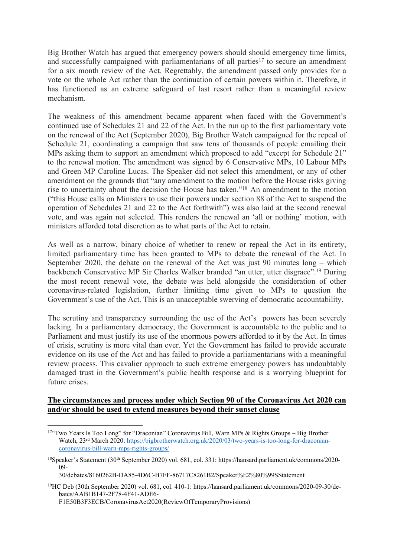Big Brother Watch has argued that emergency powers should should emergency time limits, and successfully campaigned with parliamentarians of all parties<sup>17</sup> to secure an amendment for a six month review of the Act. Regrettably, the amendment passed only provides for a vote on the whole Act rather than the continuation of certain powers within it. Therefore, it has functioned as an extreme safeguard of last resort rather than a meaningful review mechanism.

The weakness of this amendment became apparent when faced with the Government's continued use of Schedules 21 and 22 of the Act. In the run up to the first parliamentary vote on the renewal of the Act (September 2020), Big Brother Watch campaigned for the repeal of Schedule 21, coordinating a campaign that saw tens of thousands of people emailing their MPs asking them to support an amendment which proposed to add "except for Schedule 21" to the renewal motion. The amendment was signed by 6 Conservative MPs, 10 Labour MPs and Green MP Caroline Lucas. The Speaker did not select this amendment, or any of other amendment on the grounds that "any amendment to the motion before the House risks giving rise to uncertainty about the decision the House has taken."<sup>18</sup> An amendment to the motion ("this House calls on Ministers to use their powers under section 88 of the Act to suspend the operation of Schedules 21 and 22 to the Act forthwith") was also laid at the second renewal vote, and was again not selected. This renders the renewal an 'all or nothing' motion, with ministers afforded total discretion as to what parts of the Act to retain.

As well as a narrow, binary choice of whether to renew or repeal the Act in its entirety, limited parliamentary time has been granted to MPs to debate the renewal of the Act. In September 2020, the debate on the renewal of the Act was just 90 minutes long – which backbench Conservative MP Sir Charles Walker branded "an utter, utter disgrace".<sup>19</sup> During the most recent renewal vote, the debate was held alongside the consideration of other coronavirus-related legislation, further limiting time given to MPs to question the Government's use of the Act. This is an unacceptable swerving of democratic accountability.

The scrutiny and transparency surrounding the use of the Act's powers has been severely lacking. In a parliamentary democracy, the Government is accountable to the public and to Parliament and must justify its use of the enormous powers afforded to it by the Act. In times of crisis, scrutiny is more vital than ever. Yet the Government has failed to provide accurate evidence on its use of the Act and has failed to provide a parliamentarians with a meaningful review process. This cavalier approach to such extreme emergency powers has undoubtably damaged trust in the Government's public health response and is a worrying blueprint for future crises.

# **The circumstances and process under which Section 90 of the Coronavirus Act 2020 can and/or should be used to extend measures beyond their sunset clause**

<sup>17&</sup>quot;Two Years Is Too Long" for "Draconian" Coronavirus Bill, Warn MPs & Rights Groups - Big Brother Watch, 23rd March 2020: [https://bigbrotherwatch.org.uk/2020/03/two-years-is-too-long-for-draconian](https://bigbrotherwatch.org.uk/2020/03/two-years-is-too-long-for-draconian-coronavirus-bill-warn-mps-rights-groups/)[coronavirus-bill-warn-mps-rights-groups/](https://bigbrotherwatch.org.uk/2020/03/two-years-is-too-long-for-draconian-coronavirus-bill-warn-mps-rights-groups/)

<sup>&</sup>lt;sup>18</sup>Speaker's Statement (30<sup>th</sup> September 2020) vol. 681, col. 331: https://hansard.parliament.uk/commons/2020-09-

<sup>30/</sup>debates/8160262B-DA85-4D6C-B7FF-86717C8261B2/Speaker%E2%80%99SStatement

<sup>19</sup>HC Deb (30th September 2020) vol. 681, col. 410-1: https://hansard.parliament.uk/commons/2020-09-30/debates/AAB1B147-2F78-4F41-ADE6- F1E50B3F3ECB/CoronavirusAct2020(ReviewOfTemporaryProvisions)